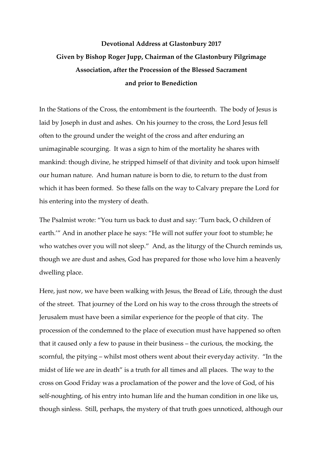## **Devotional Address at Glastonbury 2017 Given by Bishop Roger Jupp, Chairman of the Glastonbury Pilgrimage Association, after the Procession of the Blessed Sacrament and prior to Benediction**

In the Stations of the Cross, the entombment is the fourteenth. The body of Jesus is laid by Joseph in dust and ashes. On his journey to the cross, the Lord Jesus fell often to the ground under the weight of the cross and after enduring an unimaginable scourging. It was a sign to him of the mortality he shares with mankind: though divine, he stripped himself of that divinity and took upon himself our human nature. And human nature is born to die, to return to the dust from which it has been formed. So these falls on the way to Calvary prepare the Lord for his entering into the mystery of death.

The Psalmist wrote: "You turn us back to dust and say: 'Turn back, O children of earth.'" And in another place he says: "He will not suffer your foot to stumble; he who watches over you will not sleep." And, as the liturgy of the Church reminds us, though we are dust and ashes, God has prepared for those who love him a heavenly dwelling place.

Here, just now, we have been walking with Jesus, the Bread of Life, through the dust of the street. That journey of the Lord on his way to the cross through the streets of Jerusalem must have been a similar experience for the people of that city. The procession of the condemned to the place of execution must have happened so often that it caused only a few to pause in their business – the curious, the mocking, the scornful, the pitying – whilst most others went about their everyday activity. "In the midst of life we are in death" is a truth for all times and all places. The way to the cross on Good Friday was a proclamation of the power and the love of God, of his self-noughting, of his entry into human life and the human condition in one like us, though sinless. Still, perhaps, the mystery of that truth goes unnoticed, although our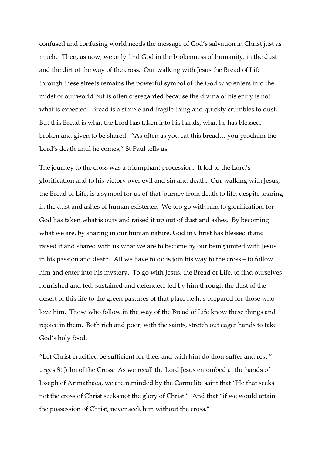confused and confusing world needs the message of God's salvation in Christ just as much. Then, as now, we only find God in the brokenness of humanity, in the dust and the dirt of the way of the cross. Our walking with Jesus the Bread of Life through these streets remains the powerful symbol of the God who enters into the midst of our world but is often disregarded because the drama of his entry is not what is expected. Bread is a simple and fragile thing and quickly crumbles to dust. But this Bread is what the Lord has taken into his hands, what he has blessed, broken and given to be shared. "As often as you eat this bread… you proclaim the Lord's death until he comes," St Paul tells us.

The journey to the cross was a triumphant procession. It led to the Lord's glorification and to his victory over evil and sin and death. Our walking with Jesus, the Bread of Life, is a symbol for us of that journey from death to life, despite sharing in the dust and ashes of human existence. We too go with him to glorification, for God has taken what is ours and raised it up out of dust and ashes. By becoming what we are, by sharing in our human nature, God in Christ has blessed it and raised it and shared with us what we are to become by our being united with Jesus in his passion and death. All we have to do is join his way to the cross – to follow him and enter into his mystery. To go with Jesus, the Bread of Life, to find ourselves nourished and fed, sustained and defended, led by him through the dust of the desert of this life to the green pastures of that place he has prepared for those who love him. Those who follow in the way of the Bread of Life know these things and rejoice in them. Both rich and poor, with the saints, stretch out eager hands to take God's holy food.

"Let Christ crucified be sufficient for thee, and with him do thou suffer and rest," urges St John of the Cross. As we recall the Lord Jesus entombed at the hands of Joseph of Arimathaea, we are reminded by the Carmelite saint that "He that seeks not the cross of Christ seeks not the glory of Christ." And that "if we would attain the possession of Christ, never seek him without the cross."